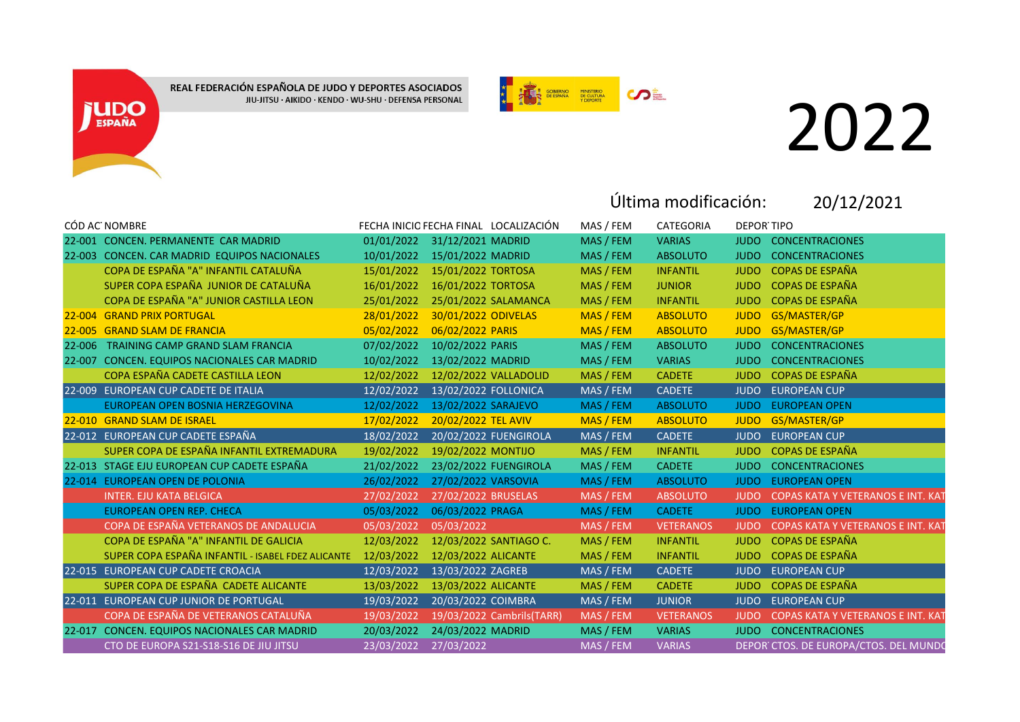REAL FEDERACIÓN ESPAÑOLA DE JUDO Y DEPORTES ASOCIADOS JIU-JITSU · AIKIDO · KENDO · WU-SHU · DEFENSA PERSONAL

**JUDO** 



## 2022

Última modificación:

20/12/2021

|        | CÓD AC NOMBRE                                     |            |                      | FECHA INICIO FECHA FINAL LOCALIZACIÓN | MAS / FEM | CATEGORIA        | <b>DEPOR TIPO</b> |                                          |
|--------|---------------------------------------------------|------------|----------------------|---------------------------------------|-----------|------------------|-------------------|------------------------------------------|
|        | 22-001 CONCEN, PERMANENTE CAR MADRID              | 01/01/2022 | 31/12/2021 MADRID    |                                       | MAS / FEM | <b>VARIAS</b>    | <b>JUDO</b>       | <b>CONCENTRACIONES</b>                   |
|        | 22-003 CONCEN, CAR MADRID EQUIPOS NACIONALES      | 10/01/2022 | 15/01/2022 MADRID    |                                       | MAS / FEM | <b>ABSOLUTO</b>  | <b>JUDO</b>       | <b>CONCENTRACIONES</b>                   |
|        | COPA DE ESPAÑA "A" INFANTIL CATALUÑA              | 15/01/2022 | 15/01/2022 TORTOSA   |                                       | MAS / FEM | <b>INFANTIL</b>  | <b>JUDO</b>       | <b>COPAS DE ESPAÑA</b>                   |
|        | SUPER COPA ESPAÑA JUNIOR DE CATALUÑA              | 16/01/2022 | 16/01/2022 TORTOSA   |                                       | MAS / FEM | <b>JUNIOR</b>    | <b>JUDO</b>       | <b>COPAS DE ESPAÑA</b>                   |
|        | COPA DE ESPAÑA "A" JUNIOR CASTILLA LEON           | 25/01/2022 |                      | 25/01/2022 SALAMANCA                  | MAS / FEM | <b>INFANTIL</b>  | <b>JUDO</b>       | <b>COPAS DE ESPAÑA</b>                   |
|        | 22-004 GRAND PRIX PORTUGAL                        | 28/01/2022 | 30/01/2022 ODIVELAS  |                                       | MAS / FEM | <b>ABSOLUTO</b>  | <b>JUDO</b>       | GS/MASTER/GP                             |
|        | 22-005 GRAND SLAM DE FRANCIA                      | 05/02/2022 | 06/02/2022 PARIS     |                                       | MAS / FEM | <b>ABSOLUTO</b>  | <b>JUDO</b>       | GS/MASTER/GP                             |
| 22-006 | <b>TRAINING CAMP GRAND SLAM FRANCIA</b>           | 07/02/2022 | 10/02/2022 PARIS     |                                       | MAS / FEM | <b>ABSOLUTO</b>  | <b>JUDO</b>       | <b>CONCENTRACIONES</b>                   |
|        | 22-007 CONCEN. EQUIPOS NACIONALES CAR MADRID      | 10/02/2022 | 13/02/2022 MADRID    |                                       | MAS / FEM | <b>VARIAS</b>    | <b>JUDO</b>       | <b>CONCENTRACIONES</b>                   |
|        | COPA ESPAÑA CADETE CASTILLA LEON                  | 12/02/2022 |                      | 12/02/2022 VALLADOLID                 | MAS / FEM | <b>CADETE</b>    | <b>JUDO</b>       | <b>COPAS DE ESPAÑA</b>                   |
|        | 22-009 EUROPEAN CUP CADETE DE ITALIA              | 12/02/2022 | 13/02/2022 FOLLONICA |                                       | MAS / FEM | <b>CADETE</b>    | <b>JUDO</b>       | <b>EUROPEAN CUP</b>                      |
|        | EUROPEAN OPEN BOSNIA HERZEGOVINA                  | 12/02/2022 | 13/02/2022 SARAJEVO  |                                       | MAS / FEM | <b>ABSOLUTO</b>  | <b>JUDO</b>       | <b>EUROPEAN OPEN</b>                     |
|        | 22-010 GRAND SLAM DE ISRAEL                       | 17/02/2022 | 20/02/2022 TEL AVIV  |                                       | MAS / FEM | <b>ABSOLUTO</b>  | <b>JUDO</b>       | GS/MASTER/GP                             |
|        | 22-012 EUROPEAN CUP CADETE ESPAÑA                 | 18/02/2022 |                      | 20/02/2022 FUENGIROLA                 | MAS / FEM | <b>CADETE</b>    | <b>JUDO</b>       | <b>EUROPEAN CUP</b>                      |
|        | SUPER COPA DE ESPAÑA INFANTIL EXTREMADURA         | 19/02/2022 | 19/02/2022 MONTIJO   |                                       | MAS / FEM | <b>INFANTIL</b>  | <b>JUDO</b>       | <b>COPAS DE ESPAÑA</b>                   |
|        | 22-013 STAGE EJU EUROPEAN CUP CADETE ESPAÑA       | 21/02/2022 |                      | 23/02/2022 FUENGIROLA                 | MAS / FEM | <b>CADETE</b>    | <b>JUDO</b>       | <b>CONCENTRACIONES</b>                   |
|        | 22-014 EUROPEAN OPEN DE POLONIA                   | 26/02/2022 | 27/02/2022 VARSOVIA  |                                       | MAS / FEM | <b>ABSOLUTO</b>  | <b>JUDO</b>       | <b>EUROPEAN OPEN</b>                     |
|        | <b>INTER. EJU KATA BELGICA</b>                    | 27/02/2022 | 27/02/2022 BRUSELAS  |                                       | MAS / FEM | <b>ABSOLUTO</b>  | <b>JUDO</b>       | <b>COPAS KATA Y VETERANOS E INT. KAT</b> |
|        | <b>EUROPEAN OPEN REP. CHECA</b>                   | 05/03/2022 | 06/03/2022 PRAGA     |                                       | MAS / FEM | <b>CADETE</b>    | <b>JUDO</b>       | <b>EUROPEAN OPEN</b>                     |
|        | COPA DE ESPAÑA VETERANOS DE ANDALUCIA             | 05/03/2022 | 05/03/2022           |                                       | MAS / FEM | <b>VETERANOS</b> | <b>JUDO</b>       | COPAS KATA Y VETERANOS E INT. KAT        |
|        | COPA DE ESPAÑA "A" INFANTIL DE GALICIA            | 12/03/2022 |                      | 12/03/2022 SANTIAGO C.                | MAS / FEM | <b>INFANTIL</b>  | <b>JUDO</b>       | <b>COPAS DE ESPAÑA</b>                   |
|        | SUPER COPA ESPAÑA INFANTIL - ISABEL FDEZ ALICANTE | 12/03/2022 | 12/03/2022 ALICANTE  |                                       | MAS / FEM | <b>INFANTIL</b>  | <b>JUDO</b>       | <b>COPAS DE ESPAÑA</b>                   |
|        | 22-015 EUROPEAN CUP CADETE CROACIA                | 12/03/2022 | 13/03/2022 ZAGREB    |                                       | MAS / FEM | <b>CADETE</b>    | <b>JUDO</b>       | <b>EUROPEAN CUP</b>                      |
|        | SUPER COPA DE ESPAÑA CADETE ALICANTE              | 13/03/2022 | 13/03/2022 ALICANTE  |                                       | MAS / FEM | <b>CADETE</b>    | <b>JUDO</b>       | <b>COPAS DE ESPAÑA</b>                   |
|        | 22-011 EUROPEAN CUP JUNIOR DE PORTUGAL            | 19/03/2022 | 20/03/2022 COIMBRA   |                                       | MAS / FEM | <b>JUNIOR</b>    | <b>JUDO</b>       | <b>EUROPEAN CUP</b>                      |
|        | COPA DE ESPAÑA DE VETERANOS CATALUÑA              | 19/03/2022 |                      | 19/03/2022 Cambrils(TARR)             | MAS / FEM | <b>VETERANOS</b> | <b>JUDO</b>       | COPAS KATA Y VETERANOS E INT. KAT        |
|        | 22-017 CONCEN. EQUIPOS NACIONALES CAR MADRID      | 20/03/2022 | 24/03/2022 MADRID    |                                       | MAS / FEM | <b>VARIAS</b>    |                   | <b>JUDO CONCENTRACIONES</b>              |
|        | CTO DE EUROPA S21-S18-S16 DE JIU JITSU            | 23/03/2022 | 27/03/2022           |                                       | MAS / FEM | <b>VARIAS</b>    |                   | DEPOR CTOS. DE EUROPA/CTOS. DEL MUNDO    |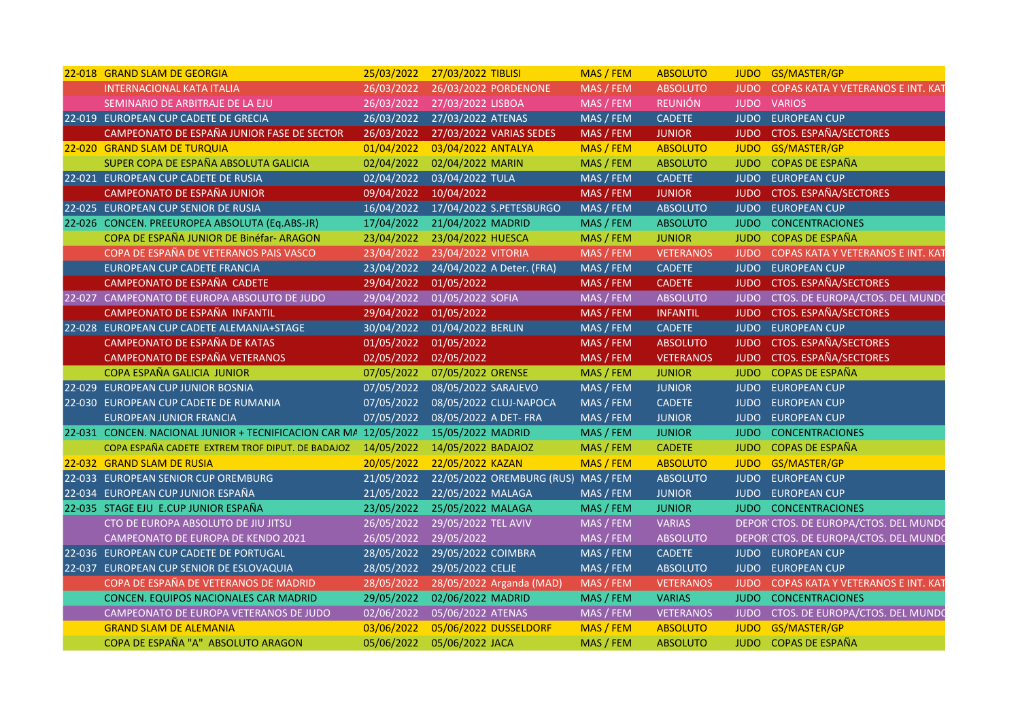| 22-018 GRAND SLAM DE GEORGIA                                     | 25/03/2022 | 27/03/2022 TIBLISI                  | MAS / FEM | <b>ABSOLUTO</b>  |             | JUDO GS/MASTER/GP                      |
|------------------------------------------------------------------|------------|-------------------------------------|-----------|------------------|-------------|----------------------------------------|
| <b>INTERNACIONAL KATA ITALIA</b>                                 | 26/03/2022 | 26/03/2022 PORDENONE                | MAS / FEM | <b>ABSOLUTO</b>  | <b>JUDO</b> | COPAS KATA Y VETERANOS E INT. KAT      |
| SEMINARIO DE ARBITRAJE DE LA EJU                                 | 26/03/2022 | 27/03/2022 LISBOA                   | MAS / FEM | <b>REUNIÓN</b>   | <b>JUDO</b> | <b>VARIOS</b>                          |
| 22-019 EUROPEAN CUP CADETE DE GRECIA                             | 26/03/2022 | 27/03/2022 ATENAS                   | MAS / FEM | <b>CADETE</b>    |             | JUDO EUROPEAN CUP                      |
| CAMPEONATO DE ESPAÑA JUNIOR FASE DE SECTOR                       | 26/03/2022 | 27/03/2022 VARIAS SEDES             | MAS / FEM | <b>JUNIOR</b>    | <b>JUDO</b> | <b>CTOS. ESPAÑA/SECTORES</b>           |
| 22-020 GRAND SLAM DE TURQUIA                                     | 01/04/2022 | 03/04/2022 ANTALYA                  | MAS / FEM | <b>ABSOLUTO</b>  | <b>JUDO</b> | GS/MASTER/GP                           |
| SUPER COPA DE ESPAÑA ABSOLUTA GALICIA                            | 02/04/2022 | 02/04/2022 MARIN                    | MAS / FEM | <b>ABSOLUTO</b>  | <b>JUDO</b> | <b>COPAS DE ESPAÑA</b>                 |
| 22-021 EUROPEAN CUP CADETE DE RUSIA                              | 02/04/2022 | 03/04/2022 TULA                     | MAS / FEM | <b>CADETE</b>    |             | JUDO EUROPEAN CUP                      |
| CAMPEONATO DE ESPAÑA JUNIOR                                      | 09/04/2022 | 10/04/2022                          | MAS / FEM | <b>JUNIOR</b>    | <b>JUDO</b> | <b>CTOS. ESPAÑA/SECTORES</b>           |
| 22-025 EUROPEAN CUP SENIOR DE RUSIA                              | 16/04/2022 | 17/04/2022 S.PETESBURGO             | MAS / FEM | <b>ABSOLUTO</b>  |             | JUDO EUROPEAN CUP                      |
| 22-026 CONCEN. PREEUROPEA ABSOLUTA (Eq.ABS-JR)                   | 17/04/2022 | 21/04/2022 MADRID                   | MAS / FEM | <b>ABSOLUTO</b>  | <b>JUDO</b> | <b>CONCENTRACIONES</b>                 |
| COPA DE ESPAÑA JUNIOR DE Binéfar-ARAGON                          | 23/04/2022 | 23/04/2022 HUESCA                   | MAS / FEM | <b>JUNIOR</b>    | <b>JUDO</b> | <b>COPAS DE ESPAÑA</b>                 |
| COPA DE ESPAÑA DE VETERANOS PAIS VASCO                           | 23/04/2022 | 23/04/2022 VITORIA                  | MAS / FEM | <b>VETERANOS</b> |             | JUDO COPAS KATA Y VETERANOS E INT. KAT |
| EUROPEAN CUP CADETE FRANCIA                                      | 23/04/2022 | 24/04/2022 A Deter. (FRA)           | MAS / FEM | <b>CADETE</b>    |             | JUDO EUROPEAN CUP                      |
| CAMPEONATO DE ESPAÑA CADETE                                      | 29/04/2022 | 01/05/2022                          | MAS / FEM | <b>CADETE</b>    |             | JUDO CTOS. ESPAÑA/SECTORES             |
| 22-027 CAMPEONATO DE EUROPA ABSOLUTO DE JUDO                     | 29/04/2022 | 01/05/2022 SOFIA                    | MAS / FEM | <b>ABSOLUTO</b>  |             | JUDO CTOS. DE EUROPA/CTOS. DEL MUNDO   |
| CAMPEONATO DE ESPAÑA INFANTIL                                    | 29/04/2022 | 01/05/2022                          | MAS / FEM | <b>INFANTIL</b>  | <b>JUDO</b> | <b>CTOS. ESPAÑA/SECTORES</b>           |
| 22-028 EUROPEAN CUP CADETE ALEMANIA+STAGE                        | 30/04/2022 | 01/04/2022 BERLIN                   | MAS / FEM | <b>CADETE</b>    |             | JUDO EUROPEAN CUP                      |
| CAMPEONATO DE ESPAÑA DE KATAS                                    | 01/05/2022 | 01/05/2022                          | MAS / FEM | <b>ABSOLUTO</b>  |             | JUDO CTOS. ESPAÑA/SECTORES             |
| CAMPEONATO DE ESPAÑA VETERANOS                                   |            |                                     |           | <b>VETERANOS</b> |             |                                        |
|                                                                  | 02/05/2022 | 02/05/2022                          | MAS / FEM |                  |             | JUDO CTOS. ESPAÑA/SECTORES             |
| COPA ESPAÑA GALICIA JUNIOR                                       | 07/05/2022 | 07/05/2022 ORENSE                   | MAS / FEM | <b>JUNIOR</b>    |             | JUDO COPAS DE ESPAÑA                   |
| 22-029 EUROPEAN CUP JUNIOR BOSNIA                                | 07/05/2022 | 08/05/2022 SARAJEVO                 | MAS / FEM | <b>JUNIOR</b>    |             | JUDO EUROPEAN CUP                      |
| 22-030 EUROPEAN CUP CADETE DE RUMANIA                            | 07/05/2022 | 08/05/2022 CLUJ-NAPOCA              | MAS / FEM | <b>CADETE</b>    |             | JUDO EUROPEAN CUP                      |
| EUROPEAN JUNIOR FRANCIA                                          | 07/05/2022 | 08/05/2022 A DET- FRA               | MAS / FEM | <b>JUNIOR</b>    |             | JUDO EUROPEAN CUP                      |
| 22-031 CONCEN. NACIONAL JUNIOR + TECNIFICACION CAR M/ 12/05/2022 |            | 15/05/2022 MADRID                   | MAS / FEM | <b>JUNIOR</b>    |             | JUDO CONCENTRACIONES                   |
| COPA ESPAÑA CADETE EXTREM TROF DIPUT. DE BADAJOZ 14/05/2022      |            | 14/05/2022 BADAJOZ                  | MAS / FEM | <b>CADETE</b>    |             | JUDO COPAS DE ESPAÑA                   |
| 22-032 GRAND SLAM DE RUSIA                                       | 20/05/2022 | 22/05/2022 KAZAN                    | MAS / FEM | <b>ABSOLUTO</b>  |             | JUDO GS/MASTER/GP                      |
| 22-033 EUROPEAN SENIOR CUP OREMBURG                              | 21/05/2022 | 22/05/2022 OREMBURG (RUS) MAS / FEM |           | <b>ABSOLUTO</b>  |             | <b>JUDO EUROPEAN CUP</b>               |
| 22-034 EUROPEAN CUP JUNIOR ESPAÑA                                | 21/05/2022 | 22/05/2022 MALAGA                   | MAS / FEM | <b>JUNIOR</b>    |             | JUDO EUROPEAN CUP                      |
| 22-035 STAGE EJU E.CUP JUNIOR ESPAÑA                             | 23/05/2022 | 25/05/2022 MALAGA                   | MAS / FEM | <b>JUNIOR</b>    | <b>JUDO</b> | <b>CONCENTRACIONES</b>                 |
| CTO DE EUROPA ABSOLUTO DE JIU JITSU                              | 26/05/2022 | 29/05/2022 TEL AVIV                 | MAS / FEM | <b>VARIAS</b>    |             | DEPOR CTOS. DE EUROPA/CTOS. DEL MUNDO  |
| CAMPEONATO DE EUROPA DE KENDO 2021                               | 26/05/2022 | 29/05/2022                          | MAS / FEM | <b>ABSOLUTO</b>  |             | DEPOR CTOS. DE EUROPA/CTOS. DEL MUNDO  |
| 22-036 EUROPEAN CUP CADETE DE PORTUGAL                           | 28/05/2022 | 29/05/2022 COIMBRA                  | MAS / FEM | <b>CADETE</b>    |             | JUDO EUROPEAN CUP                      |
| 22-037 EUROPEAN CUP SENIOR DE ESLOVAQUIA                         | 28/05/2022 | 29/05/2022 CELJE                    | MAS / FEM | <b>ABSOLUTO</b>  |             | JUDO EUROPEAN CUP                      |
| COPA DE ESPAÑA DE VETERANOS DE MADRID                            | 28/05/2022 | 28/05/2022 Arganda (MAD)            | MAS / FEM | <b>VETERANOS</b> | <b>JUDO</b> | COPAS KATA Y VETERANOS E INT. KAT      |
| CONCEN. EQUIPOS NACIONALES CAR MADRID                            | 29/05/2022 | 02/06/2022 MADRID                   | MAS / FEM | <b>VARIAS</b>    | <b>JUDO</b> | <b>CONCENTRACIONES</b>                 |
| CAMPEONATO DE EUROPA VETERANOS DE JUDO                           | 02/06/2022 | 05/06/2022 ATENAS                   | MAS / FEM | <b>VETERANOS</b> |             | JUDO CTOS. DE EUROPA/CTOS. DEL MUNDO   |
| <b>GRAND SLAM DE ALEMANIA</b>                                    | 03/06/2022 | 05/06/2022 DUSSELDORF               | MAS / FEM | <b>ABSOLUTO</b>  |             | JUDO GS/MASTER/GP                      |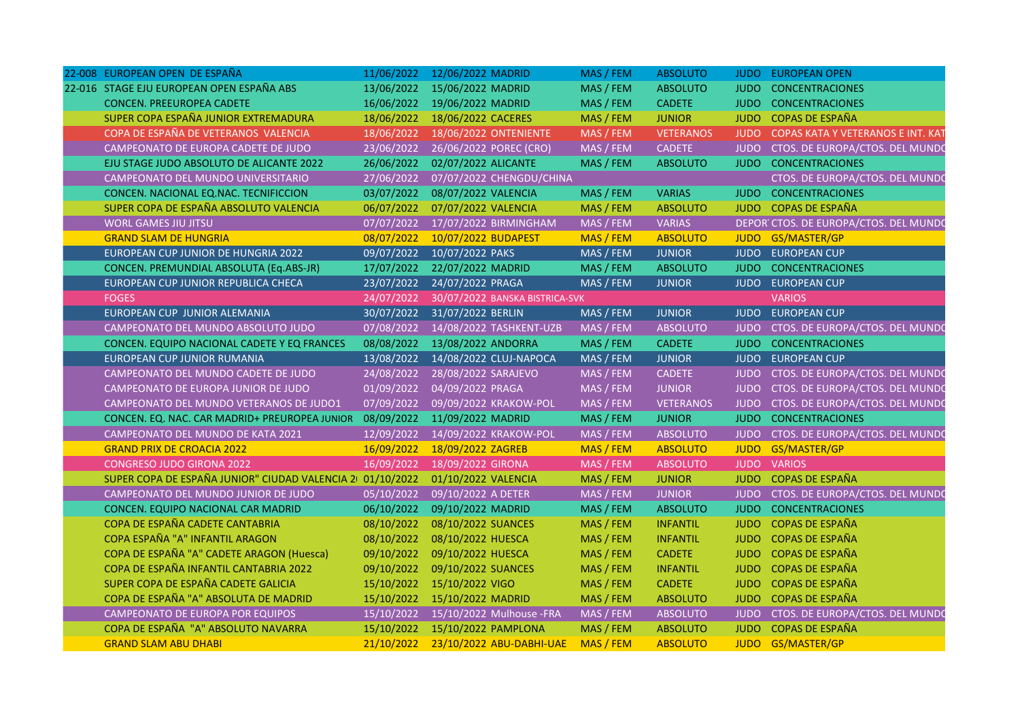| 22-008 EUROPEAN OPEN DE ESPAÑA                            | 11/06/2022 | 12/06/2022 MADRID                     | MAS / FEM | <b>ABSOLUTO</b>  |             | <b>JUDO EUROPEAN OPEN</b>              |
|-----------------------------------------------------------|------------|---------------------------------------|-----------|------------------|-------------|----------------------------------------|
| 22-016 STAGE EJU EUROPEAN OPEN ESPAÑA ABS                 | 13/06/2022 | 15/06/2022 MADRID                     | MAS / FEM | <b>ABSOLUTO</b>  | <b>JUDO</b> | <b>CONCENTRACIONES</b>                 |
| CONCEN. PREEUROPEA CADETE                                 | 16/06/2022 | 19/06/2022 MADRID                     | MAS / FEM | <b>CADETE</b>    | <b>JUDO</b> | <b>CONCENTRACIONES</b>                 |
| SUPER COPA ESPAÑA JUNIOR EXTREMADURA                      | 18/06/2022 | 18/06/2022 CACERES                    | MAS / FEM | <b>JUNIOR</b>    | <b>JUDO</b> | <b>COPAS DE ESPAÑA</b>                 |
| COPA DE ESPAÑA DE VETERANOS VALENCIA                      | 18/06/2022 | 18/06/2022 ONTENIENTE                 | MAS / FEM | <b>VETERANOS</b> |             | JUDO COPAS KATA Y VETERANOS E INT. KAT |
| CAMPEONATO DE EUROPA CADETE DE JUDO                       | 23/06/2022 | 26/06/2022 POREC (CRO)                | MAS / FEM | <b>CADETE</b>    |             | JUDO CTOS. DE EUROPA/CTOS. DEL MUNDO   |
| EJU STAGE JUDO ABSOLUTO DE ALICANTE 2022                  | 26/06/2022 | 02/07/2022 ALICANTE                   | MAS / FEM | <b>ABSOLUTO</b>  | <b>JUDO</b> | <b>CONCENTRACIONES</b>                 |
| CAMPEONATO DEL MUNDO UNIVERSITARIO                        | 27/06/2022 | 07/07/2022 CHENGDU/CHINA              |           |                  |             | CTOS. DE EUROPA/CTOS. DEL MUNDO        |
| CONCEN. NACIONAL EQ.NAC. TECNIFICCION                     | 03/07/2022 | 08/07/2022 VALENCIA                   | MAS / FEM | <b>VARIAS</b>    | <b>JUDO</b> | <b>CONCENTRACIONES</b>                 |
| SUPER COPA DE ESPAÑA ABSOLUTO VALENCIA                    | 06/07/2022 | 07/07/2022 VALENCIA                   | MAS / FEM | <b>ABSOLUTO</b>  |             | JUDO COPAS DE ESPAÑA                   |
| <b>WORL GAMES JIU JITSU</b>                               | 07/07/2022 | 17/07/2022 BIRMINGHAM                 | MAS / FEM | <b>VARIAS</b>    |             | DEPOR CTOS. DE EUROPA/CTOS. DEL MUNDO  |
| <b>GRAND SLAM DE HUNGRIA</b>                              | 08/07/2022 | 10/07/2022 BUDAPEST                   | MAS / FEM | <b>ABSOLUTO</b>  |             | JUDO GS/MASTER/GP                      |
| EUROPEAN CUP JUNIOR DE HUNGRIA 2022                       | 09/07/2022 | 10/07/2022 PAKS                       | MAS / FEM | <b>JUNIOR</b>    |             | JUDO EUROPEAN CUP                      |
| CONCEN. PREMUNDIAL ABSOLUTA (Eq.ABS-JR)                   | 17/07/2022 | 22/07/2022 MADRID                     | MAS / FEM | <b>ABSOLUTO</b>  | <b>JUDO</b> | <b>CONCENTRACIONES</b>                 |
| EUROPEAN CUP JUNIOR REPUBLICA CHECA                       | 23/07/2022 | 24/07/2022 PRAGA                      | MAS / FEM | <b>JUNIOR</b>    | <b>JUDO</b> | <b>EUROPEAN CUP</b>                    |
| <b>FOGES</b>                                              | 24/07/2022 | 30/07/2022 BANSKA BISTRICA-SVK        |           |                  |             | <b>VARIOS</b>                          |
| EUROPEAN CUP JUNIOR ALEMANIA                              | 30/07/2022 | 31/07/2022 BERLIN                     | MAS / FEM | <b>JUNIOR</b>    |             | JUDO EUROPEAN CUP                      |
| CAMPEONATO DEL MUNDO ABSOLUTO JUDO                        | 07/08/2022 | 14/08/2022 TASHKENT-UZB               | MAS / FEM | <b>ABSOLUTO</b>  |             | JUDO CTOS. DE EUROPA/CTOS. DEL MUNDO   |
| CONCEN. EQUIPO NACIONAL CADETE Y EQ FRANCES               | 08/08/2022 | 13/08/2022 ANDORRA                    | MAS / FEM | <b>CADETE</b>    |             | JUDO CONCENTRACIONES                   |
| EUROPEAN CUP JUNIOR RUMANIA                               | 13/08/2022 | 14/08/2022 CLUJ-NAPOCA                | MAS / FEM | <b>JUNIOR</b>    |             | JUDO EUROPEAN CUP                      |
| CAMPEONATO DEL MUNDO CADETE DE JUDO                       | 24/08/2022 | 28/08/2022 SARAJEVO                   | MAS / FEM | CADETE           |             | JUDO CTOS. DE EUROPA/CTOS. DEL MUNDO   |
| CAMPEONATO DE EUROPA JUNIOR DE JUDO                       | 01/09/2022 | 04/09/2022 PRAGA                      | MAS / FEM | <b>JUNIOR</b>    |             | JUDO CTOS. DE EUROPA/CTOS. DEL MUNDO   |
| CAMPEONATO DEL MUNDO VETERANOS DE JUDO1                   | 07/09/2022 | 09/09/2022 KRAKOW-POL                 | MAS / FEM | <b>VETERANOS</b> |             | JUDO CTOS. DE EUROPA/CTOS. DEL MUNDO   |
| CONCEN. EQ. NAC. CAR MADRID+ PREUROPEA JUNIOR 08/09/2022  |            | 11/09/2022 MADRID                     | MAS / FEM | <b>JUNIOR</b>    |             | JUDO CONCENTRACIONES                   |
| CAMPEONATO DEL MUNDO DE KATA 2021                         | 12/09/2022 | 14/09/2022 KRAKOW-POL                 | MAS / FEM | <b>ABSOLUTO</b>  |             | JUDO CTOS. DE EUROPA/CTOS. DEL MUNDO   |
| <b>GRAND PRIX DE CROACIA 2022</b>                         | 16/09/2022 | 18/09/2022 ZAGREB                     | MAS / FEM | <b>ABSOLUTO</b>  |             | JUDO GS/MASTER/GP                      |
| <b>CONGRESO JUDO GIRONA 2022</b>                          | 16/09/2022 | 18/09/2022 GIRONA                     | MAS / FEM | <b>ABSOLUTO</b>  |             | JUDO VARIOS                            |
| SUPER COPA DE ESPAÑA JUNIOR" CIUDAD VALENCIA 2 01/10/2022 |            | 01/10/2022 VALENCIA                   | MAS / FEM | <b>JUNIOR</b>    |             | JUDO COPAS DE ESPAÑA                   |
| CAMPEONATO DEL MUNDO JUNIOR DE JUDO                       | 05/10/2022 | 09/10/2022 A DETER                    | MAS / FEM | <b>JUNIOR</b>    |             | JUDO CTOS. DE EUROPA/CTOS. DEL MUNDO   |
| CONCEN. EQUIPO NACIONAL CAR MADRID                        | 06/10/2022 | 09/10/2022 MADRID                     | MAS / FEM | <b>ABSOLUTO</b>  | <b>JUDO</b> | <b>CONCENTRACIONES</b>                 |
| COPA DE ESPAÑA CADETE CANTABRIA                           | 08/10/2022 | 08/10/2022 SUANCES                    | MAS / FEM | <b>INFANTIL</b>  | <b>JUDO</b> | <b>COPAS DE ESPAÑA</b>                 |
| COPA ESPAÑA "A" INFANTIL ARAGON                           | 08/10/2022 | 08/10/2022 HUESCA                     | MAS / FEM | <b>INFANTIL</b>  |             | JUDO COPAS DE ESPAÑA                   |
| COPA DE ESPAÑA "A" CADETE ARAGON (Huesca)                 | 09/10/2022 | 09/10/2022 HUESCA                     | MAS / FEM | <b>CADETE</b>    |             | JUDO COPAS DE ESPAÑA                   |
| COPA DE ESPAÑA INFANTIL CANTABRIA 2022                    | 09/10/2022 | 09/10/2022 SUANCES                    | MAS / FEM | <b>INFANTIL</b>  | <b>JUDO</b> | <b>COPAS DE ESPAÑA</b>                 |
| SUPER COPA DE ESPAÑA CADETE GALICIA                       | 15/10/2022 | 15/10/2022 VIGO                       | MAS / FEM | <b>CADETE</b>    | <b>JUDO</b> | COPAS DE ESPAÑA                        |
| COPA DE ESPAÑA "A" ABSOLUTA DE MADRID                     | 15/10/2022 | 15/10/2022 MADRID                     | MAS / FEM | <b>ABSOLUTO</b>  |             | JUDO COPAS DE ESPAÑA                   |
| CAMPEONATO DE EUROPA POR EQUIPOS                          |            | 15/10/2022  15/10/2022  Mulhouse -FRA | MAS / FEM | <b>ABSOLUTO</b>  |             | JUDO CTOS. DE EUROPA/CTOS. DEL MUNDO   |
| COPA DE ESPAÑA "A" ABSOLUTO NAVARRA                       |            | 15/10/2022 15/10/2022 PAMPLONA        | MAS / FEM | <b>ABSOLUTO</b>  |             | JUDO COPAS DE ESPAÑA                   |
| <b>GRAND SLAM ABU DHABI</b>                               | 21/10/2022 | 23/10/2022 ABU-DABHI-UAE MAS / FEM    |           | <b>ABSOLUTO</b>  |             | JUDO GS/MASTER/GP                      |